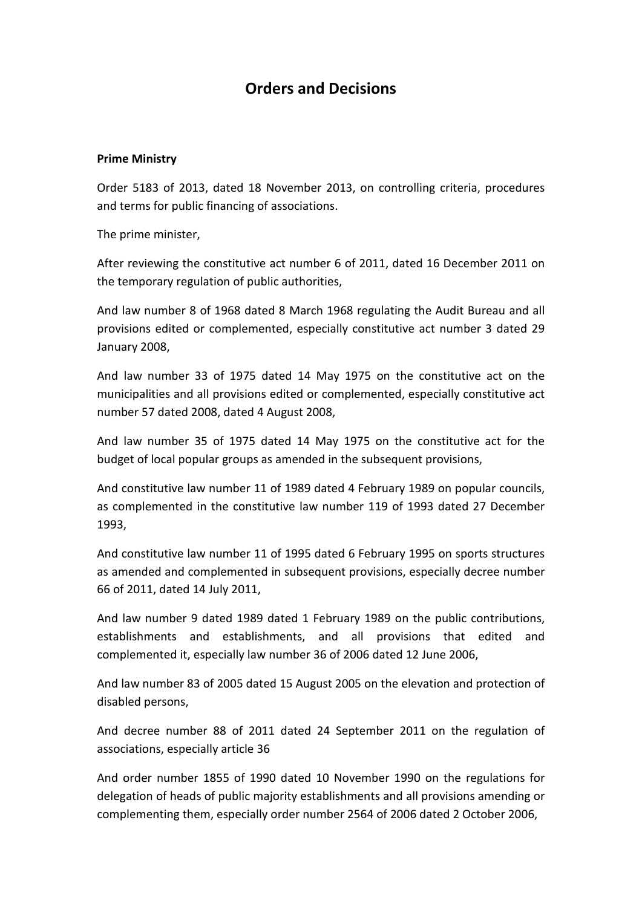# **Orders and Decisions**

#### **Prime Ministry**

Order 5183 of 2013, dated 18 November 2013, on controlling criteria, procedures and terms for public financing of associations.

The prime minister,

After reviewing the constitutive act number 6 of 2011, dated 16 December 2011 on the temporary regulation of public authorities,

And law number 8 of 1968 dated 8 March 1968 regulating the Audit Bureau and all provisions edited or complemented, especially constitutive act number 3 dated 29 January 2008,

And law number 33 of 1975 dated 14 May 1975 on the constitutive act on the municipalities and all provisions edited or complemented, especially constitutive act number 57 dated 2008, dated 4 August 2008,

And law number 35 of 1975 dated 14 May 1975 on the constitutive act for the budget of local popular groups as amended in the subsequent provisions,

And constitutive law number 11 of 1989 dated 4 February 1989 on popular councils, as complemented in the constitutive law number 119 of 1993 dated 27 December 1993,

And constitutive law number 11 of 1995 dated 6 February 1995 on sports structures as amended and complemented in subsequent provisions, especially decree number 66 of 2011, dated 14 July 2011,

And law number 9 dated 1989 dated 1 February 1989 on the public contributions, establishments and establishments, and all provisions that edited and complemented it, especially law number 36 of 2006 dated 12 June 2006,

And law number 83 of 2005 dated 15 August 2005 on the elevation and protection of disabled persons,

And decree number 88 of 2011 dated 24 September 2011 on the regulation of associations, especially article 36

And order number 1855 of 1990 dated 10 November 1990 on the regulations for delegation of heads of public majority establishments and all provisions amending or complementing them, especially order number 2564 of 2006 dated 2 October 2006,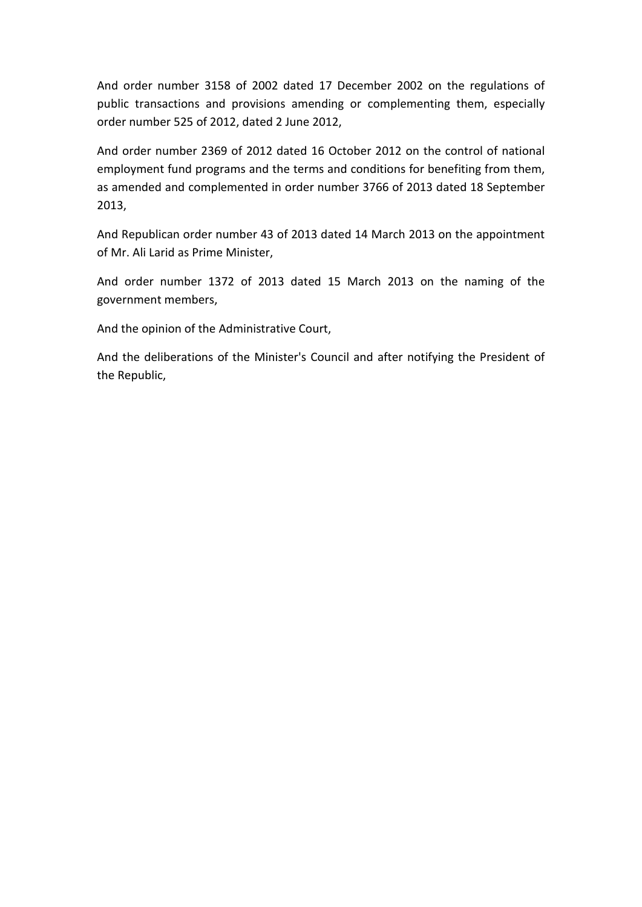And order number 3158 of 2002 dated 17 December 2002 on the regulations of public transactions and provisions amending or complementing them, especially order number 525 of 2012, dated 2 June 2012,

And order number 2369 of 2012 dated 16 October 2012 on the control of national employment fund programs and the terms and conditions for benefiting from them, as amended and complemented in order number 3766 of 2013 dated 18 September 2013,

And Republican order number 43 of 2013 dated 14 March 2013 on the appointment of Mr. Ali Larid as Prime Minister,

And order number 1372 of 2013 dated 15 March 2013 on the naming of the government members,

And the opinion of the Administrative Court,

And the deliberations of the Minister's Council and after notifying the President of the Republic,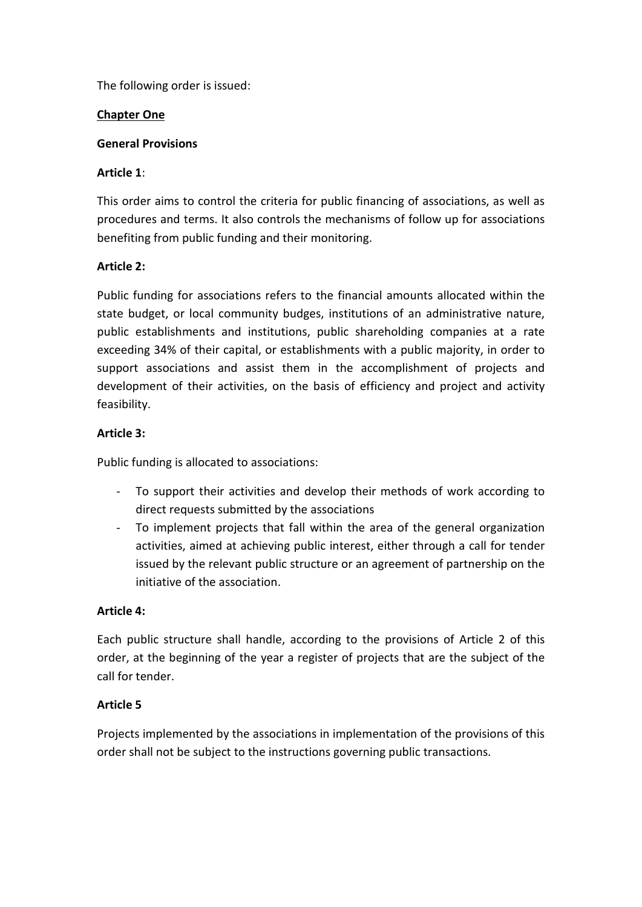The following order is issued:

## **Chapter One**

#### **General Provisions**

## **Article 1**:

This order aims to control the criteria for public financing of associations, as well as procedures and terms. It also controls the mechanisms of follow up for associations benefiting from public funding and their monitoring.

## **Article 2:**

Public funding for associations refers to the financial amounts allocated within the state budget, or local community budges, institutions of an administrative nature, public establishments and institutions, public shareholding companies at a rate exceeding 34% of their capital, or establishments with a public majority, in order to support associations and assist them in the accomplishment of projects and development of their activities, on the basis of efficiency and project and activity feasibility.

## **Article 3:**

Public funding is allocated to associations:

- To support their activities and develop their methods of work according to direct requests submitted by the associations
- To implement projects that fall within the area of the general organization activities, aimed at achieving public interest, either through a call for tender issued by the relevant public structure or an agreement of partnership on the initiative of the association.

#### **Article 4:**

Each public structure shall handle, according to the provisions of Article 2 of this order, at the beginning of the year a register of projects that are the subject of the call for tender.

## **Article 5**

Projects implemented by the associations in implementation of the provisions of this order shall not be subject to the instructions governing public transactions.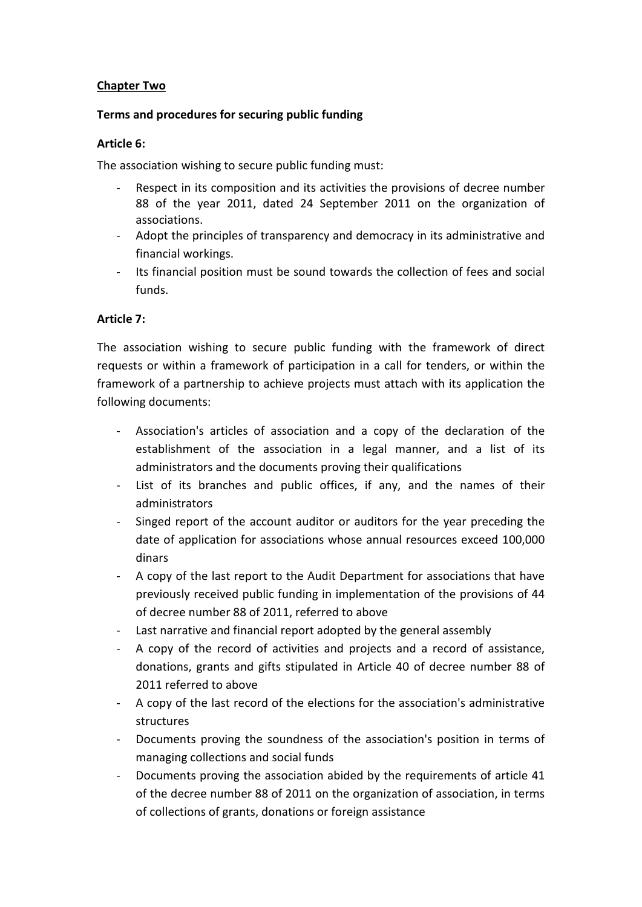## **Chapter Two**

#### **Terms and procedures for securing public funding**

#### **Article 6:**

The association wishing to secure public funding must:

- Respect in its composition and its activities the provisions of decree number 88 of the year 2011, dated 24 September 2011 on the organization of associations.
- Adopt the principles of transparency and democracy in its administrative and financial workings.
- Its financial position must be sound towards the collection of fees and social funds.

## **Article 7:**

The association wishing to secure public funding with the framework of direct requests or within a framework of participation in a call for tenders, or within the framework of a partnership to achieve projects must attach with its application the following documents:

- Association's articles of association and a copy of the declaration of the establishment of the association in a legal manner, and a list of its administrators and the documents proving their qualifications
- List of its branches and public offices, if any, and the names of their administrators
- Singed report of the account auditor or auditors for the year preceding the date of application for associations whose annual resources exceed 100,000 dinars
- A copy of the last report to the Audit Department for associations that have previously received public funding in implementation of the provisions of 44 of decree number 88 of 2011, referred to above
- Last narrative and financial report adopted by the general assembly
- A copy of the record of activities and projects and a record of assistance, donations, grants and gifts stipulated in Article 40 of decree number 88 of 2011 referred to above
- A copy of the last record of the elections for the association's administrative structures
- Documents proving the soundness of the association's position in terms of managing collections and social funds
- Documents proving the association abided by the requirements of article 41 of the decree number 88 of 2011 on the organization of association, in terms of collections of grants, donations or foreign assistance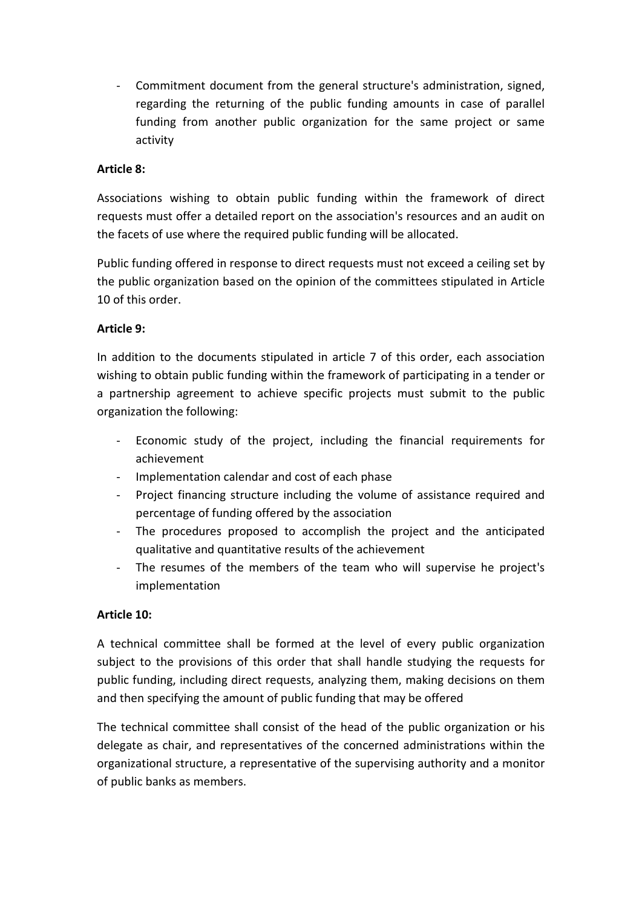- Commitment document from the general structure's administration, signed, regarding the returning of the public funding amounts in case of parallel funding from another public organization for the same project or same activity

## **Article 8:**

Associations wishing to obtain public funding within the framework of direct requests must offer a detailed report on the association's resources and an audit on the facets of use where the required public funding will be allocated.

Public funding offered in response to direct requests must not exceed a ceiling set by the public organization based on the opinion of the committees stipulated in Article 10 of this order.

## **Article 9:**

In addition to the documents stipulated in article 7 of this order, each association wishing to obtain public funding within the framework of participating in a tender or a partnership agreement to achieve specific projects must submit to the public organization the following:

- Economic study of the project, including the financial requirements for achievement
- Implementation calendar and cost of each phase
- Project financing structure including the volume of assistance required and percentage of funding offered by the association
- The procedures proposed to accomplish the project and the anticipated qualitative and quantitative results of the achievement
- The resumes of the members of the team who will supervise he project's implementation

## **Article 10:**

A technical committee shall be formed at the level of every public organization subject to the provisions of this order that shall handle studying the requests for public funding, including direct requests, analyzing them, making decisions on them and then specifying the amount of public funding that may be offered

The technical committee shall consist of the head of the public organization or his delegate as chair, and representatives of the concerned administrations within the organizational structure, a representative of the supervising authority and a monitor of public banks as members.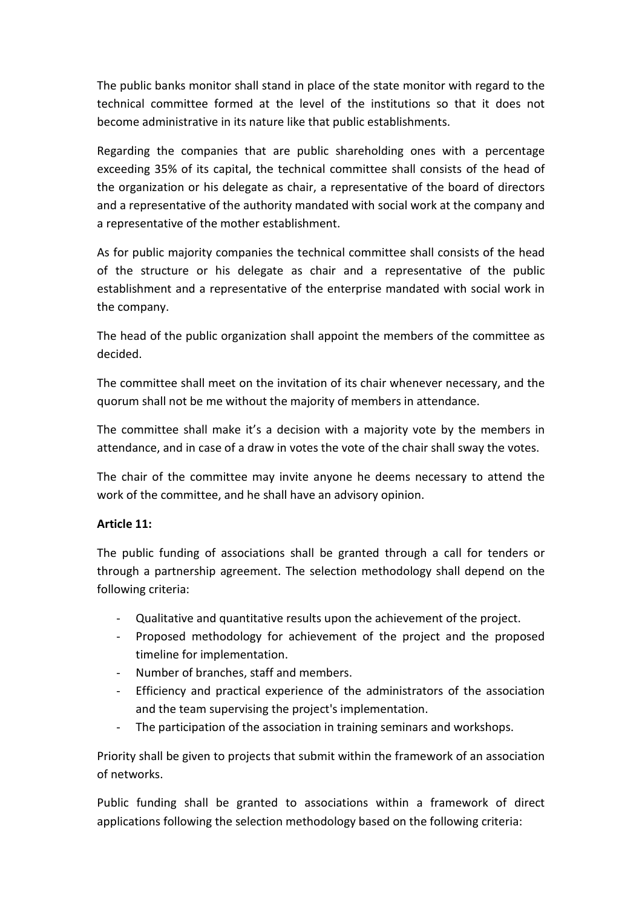The public banks monitor shall stand in place of the state monitor with regard to the technical committee formed at the level of the institutions so that it does not become administrative in its nature like that public establishments.

Regarding the companies that are public shareholding ones with a percentage exceeding 35% of its capital, the technical committee shall consists of the head of the organization or his delegate as chair, a representative of the board of directors and a representative of the authority mandated with social work at the company and a representative of the mother establishment.

As for public majority companies the technical committee shall consists of the head of the structure or his delegate as chair and a representative of the public establishment and a representative of the enterprise mandated with social work in the company.

The head of the public organization shall appoint the members of the committee as decided.

The committee shall meet on the invitation of its chair whenever necessary, and the quorum shall not be me without the majority of members in attendance.

The committee shall make it's a decision with a majority vote by the members in attendance, and in case of a draw in votes the vote of the chair shall sway the votes.

The chair of the committee may invite anyone he deems necessary to attend the work of the committee, and he shall have an advisory opinion.

## **Article 11:**

The public funding of associations shall be granted through a call for tenders or through a partnership agreement. The selection methodology shall depend on the following criteria:

- Qualitative and quantitative results upon the achievement of the project.
- Proposed methodology for achievement of the project and the proposed timeline for implementation.
- Number of branches, staff and members.
- Efficiency and practical experience of the administrators of the association and the team supervising the project's implementation.
- The participation of the association in training seminars and workshops.

Priority shall be given to projects that submit within the framework of an association of networks.

Public funding shall be granted to associations within a framework of direct applications following the selection methodology based on the following criteria: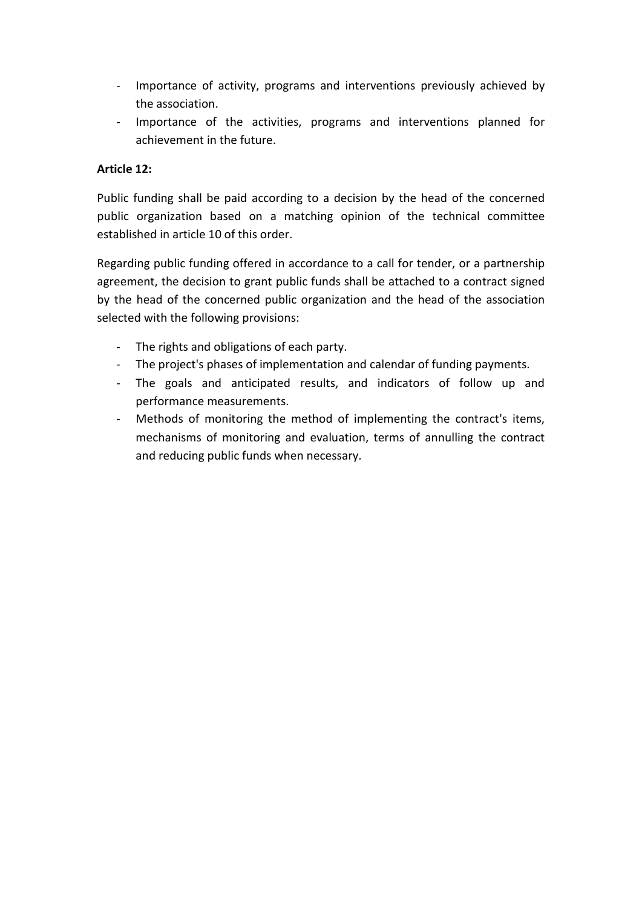- Importance of activity, programs and interventions previously achieved by the association.
- Importance of the activities, programs and interventions planned for achievement in the future.

## **Article 12:**

Public funding shall be paid according to a decision by the head of the concerned public organization based on a matching opinion of the technical committee established in article 10 of this order.

Regarding public funding offered in accordance to a call for tender, or a partnership agreement, the decision to grant public funds shall be attached to a contract signed by the head of the concerned public organization and the head of the association selected with the following provisions:

- The rights and obligations of each party.
- The project's phases of implementation and calendar of funding payments.
- The goals and anticipated results, and indicators of follow up and performance measurements.
- Methods of monitoring the method of implementing the contract's items, mechanisms of monitoring and evaluation, terms of annulling the contract and reducing public funds when necessary.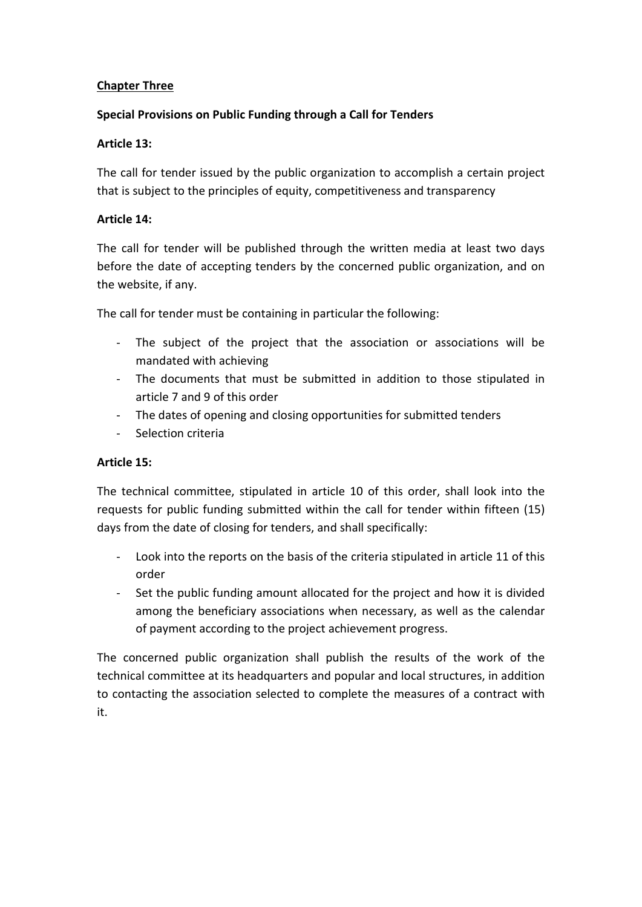## **Chapter Three**

## **Special Provisions on Public Funding through a Call for Tenders**

## **Article 13:**

The call for tender issued by the public organization to accomplish a certain project that is subject to the principles of equity, competitiveness and transparency

## **Article 14:**

The call for tender will be published through the written media at least two days before the date of accepting tenders by the concerned public organization, and on the website, if any.

The call for tender must be containing in particular the following:

- The subject of the project that the association or associations will be mandated with achieving
- The documents that must be submitted in addition to those stipulated in article 7 and 9 of this order
- The dates of opening and closing opportunities for submitted tenders
- Selection criteria

## **Article 15:**

The technical committee, stipulated in article 10 of this order, shall look into the requests for public funding submitted within the call for tender within fifteen (15) days from the date of closing for tenders, and shall specifically:

- Look into the reports on the basis of the criteria stipulated in article 11 of this order
- Set the public funding amount allocated for the project and how it is divided among the beneficiary associations when necessary, as well as the calendar of payment according to the project achievement progress.

The concerned public organization shall publish the results of the work of the technical committee at its headquarters and popular and local structures, in addition to contacting the association selected to complete the measures of a contract with it.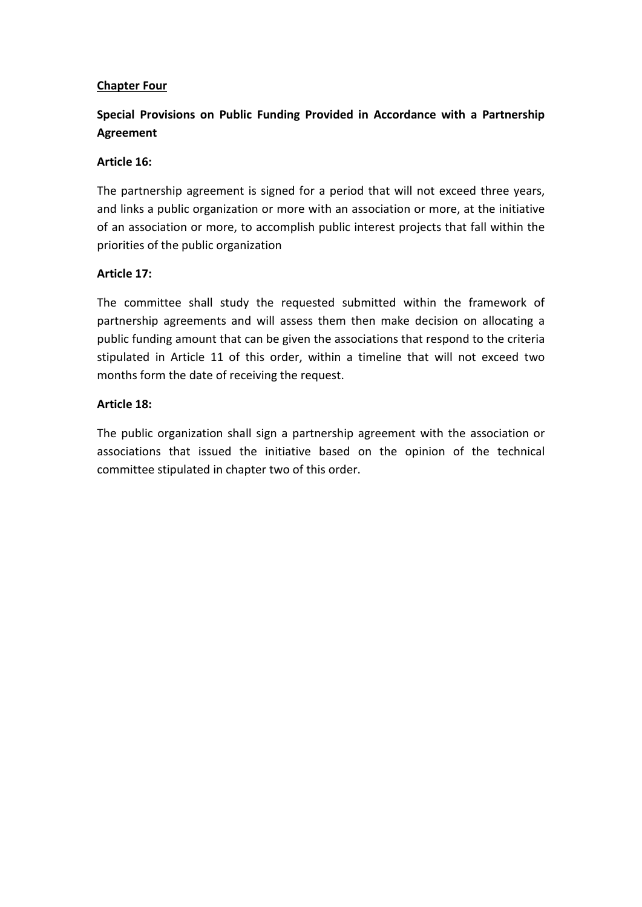## **Chapter Four**

## **Special Provisions on Public Funding Provided in Accordance with a Partnership Agreement**

#### **Article 16:**

The partnership agreement is signed for a period that will not exceed three years, and links a public organization or more with an association or more, at the initiative of an association or more, to accomplish public interest projects that fall within the priorities of the public organization

## **Article 17:**

The committee shall study the requested submitted within the framework of partnership agreements and will assess them then make decision on allocating a public funding amount that can be given the associations that respond to the criteria stipulated in Article 11 of this order, within a timeline that will not exceed two months form the date of receiving the request.

## **Article 18:**

The public organization shall sign a partnership agreement with the association or associations that issued the initiative based on the opinion of the technical committee stipulated in chapter two of this order.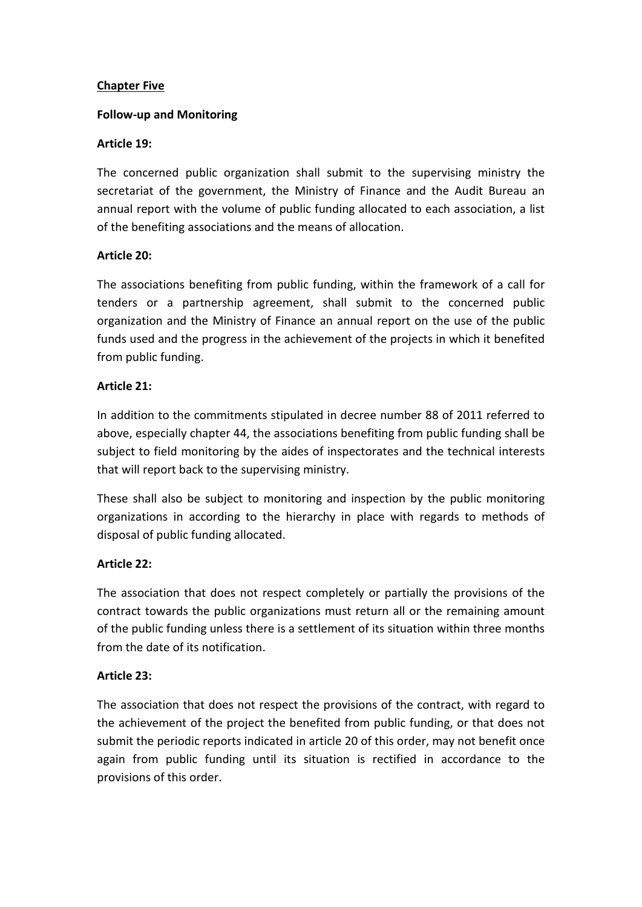## **Chapter Five**

#### **Follow-up and Monitoring**

#### **Article 19:**

The concerned public organization shall submit to the supervising ministry the secretariat of the government, the Ministry of Finance and the Audit Bureau an annual report with the volume of public funding allocated to each association, a list of the benefiting associations and the means of allocation.

## **Article 20:**

The associations benefiting from public funding, within the framework of a call for tenders or a partnership agreement, shall submit to the concerned public organization and the Ministry of Finance an annual report on the use of the public funds used and the progress in the achievement of the projects in which it benefited from public funding.

## **Article 21:**

In addition to the commitments stipulated in decree number 88 of 2011 referred to above, especially chapter 44, the associations benefiting from public funding shall be subject to field monitoring by the aides of inspectorates and the technical interests that will report back to the supervising ministry.

These shall also be subject to monitoring and inspection by the public monitoring organizations in according to the hierarchy in place with regards to methods of disposal of public funding allocated.

## **Article 22:**

The association that does not respect completely or partially the provisions of the contract towards the public organizations must return all or the remaining amount of the public funding unless there is a settlement of its situation within three months from the date of its notification.

## **Article 23:**

The association that does not respect the provisions of the contract, with regard to the achievement of the project the benefited from public funding, or that does not submit the periodic reports indicated in article 20 of this order, may not benefit once again from public funding until its situation is rectified in accordance to the provisions of this order.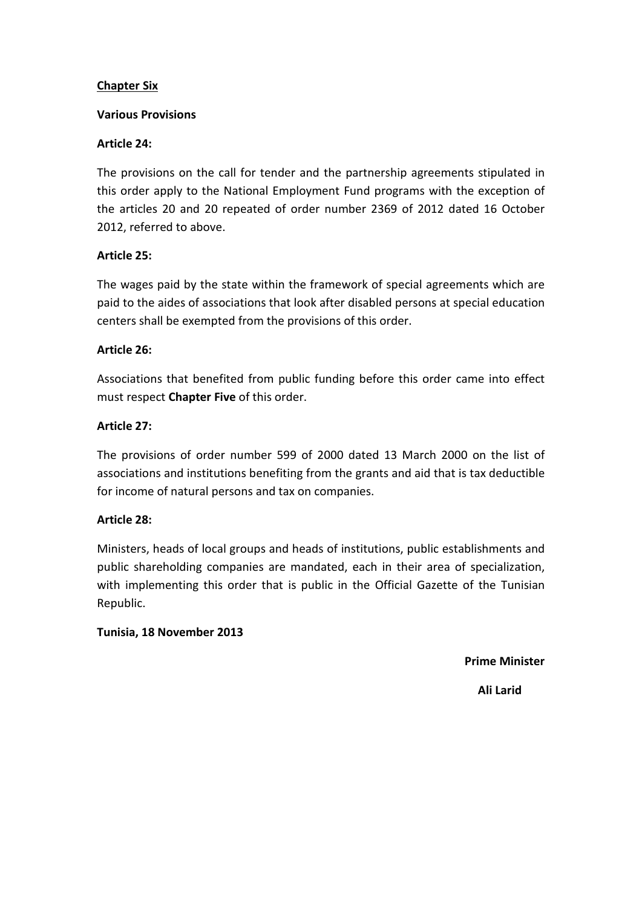## **Chapter Six**

#### **Various Provisions**

## **Article 24:**

The provisions on the call for tender and the partnership agreements stipulated in this order apply to the National Employment Fund programs with the exception of the articles 20 and 20 repeated of order number 2369 of 2012 dated 16 October 2012, referred to above.

## **Article 25:**

The wages paid by the state within the framework of special agreements which are paid to the aides of associations that look after disabled persons at special education centers shall be exempted from the provisions of this order.

## **Article 26:**

Associations that benefited from public funding before this order came into effect must respect **Chapter Five** of this order.

## **Article 27:**

The provisions of order number 599 of 2000 dated 13 March 2000 on the list of associations and institutions benefiting from the grants and aid that is tax deductible for income of natural persons and tax on companies.

#### **Article 28:**

Ministers, heads of local groups and heads of institutions, public establishments and public shareholding companies are mandated, each in their area of specialization, with implementing this order that is public in the Official Gazette of the Tunisian Republic.

#### **Tunisia, 18 November 2013**

**Prime Minister** 

 **Ali Larid**